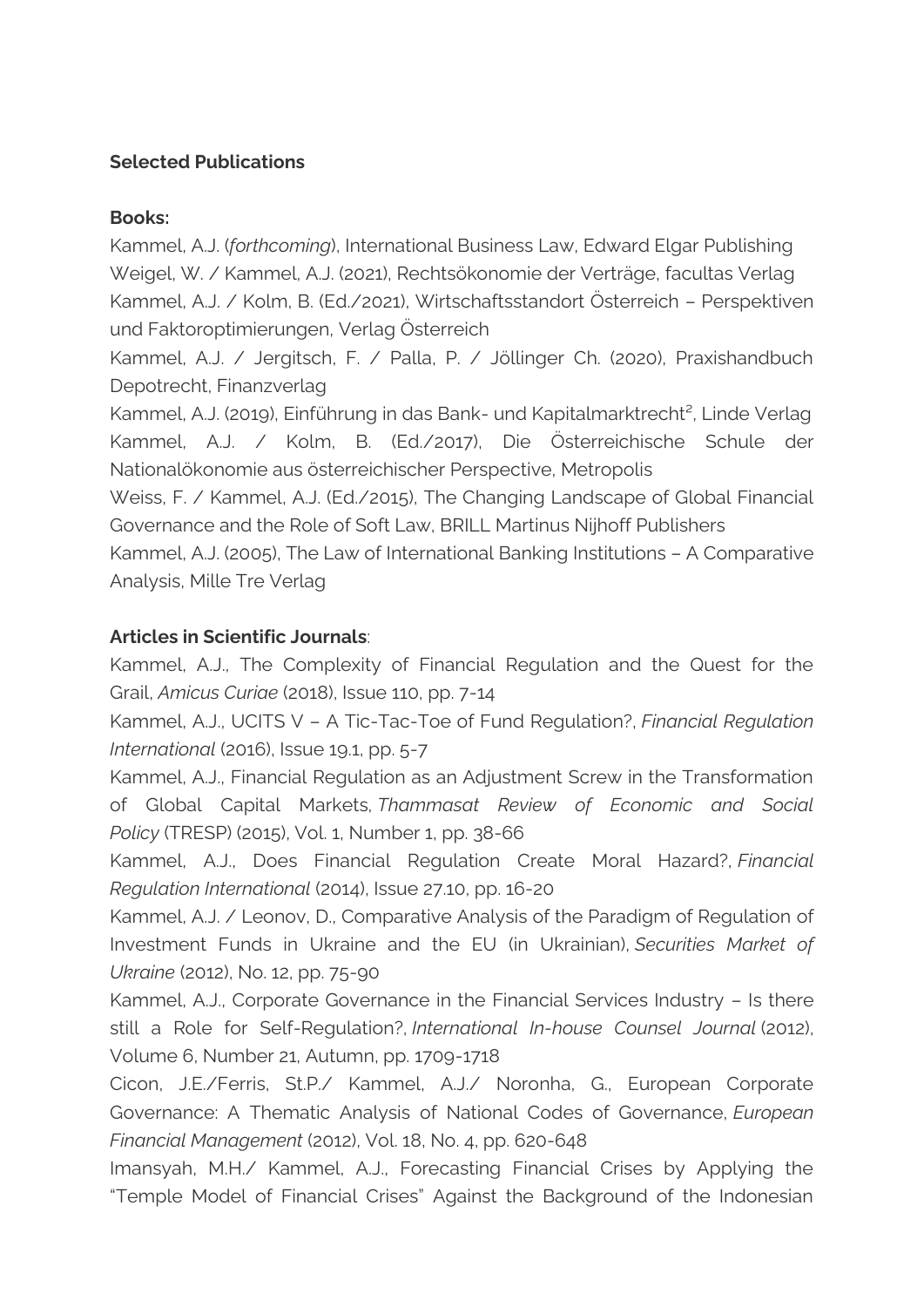## **Selected Publications**

## **Books:**

Kammel, A.J. (*forthcoming*), International Business Law, Edward Elgar Publishing Weigel, W. / Kammel, A.J. (2021), Rechtsökonomie der Verträge, facultas Verlag Kammel, A.J. / Kolm, B. (Ed./2021), Wirtschaftsstandort Österreich – Perspektiven und Faktoroptimierungen, Verlag Österreich

Kammel, A.J. / Jergitsch, F. / Palla, P. / Jöllinger Ch. (2020), Praxishandbuch Depotrecht, Finanzverlag

Kammel, A.J. (2019), Einführung in das Bank- und Kapitalmarktrecht², Linde Verlag Kammel, A.J. / Kolm, B. (Ed./2017), Die Österreichische Schule der Nationalökonomie aus österreichischer Perspective, Metropolis

Weiss, F. / Kammel, A.J. (Ed./2015), The Changing Landscape of Global Financial Governance and the Role of Soft Law, BRILL Martinus Nijhoff Publishers

Kammel, A.J. (2005), The Law of International Banking Institutions – A Comparative Analysis, Mille Tre Verlag

## **Articles in Scientific Journals**:

Kammel, A.J., The Complexity of Financial Regulation and the Quest for the Grail, *Amicus Curiae* (2018), Issue 110, pp. 7-14

Kammel, A.J., UCITS V – A Tic-Tac-Toe of Fund Regulation?, *Financial Regulation International* (2016), Issue 19.1, pp. 5-7

Kammel, A.J., Financial Regulation as an Adjustment Screw in the Transformation of Global Capital Markets, *Thammasat Review of Economic and Social Policy* (TRESP) (2015), Vol. 1, Number 1, pp. 38-66

Kammel, A.J., Does Financial Regulation Create Moral Hazard?, *Financial Regulation International* (2014), Issue 27.10, pp. 16-20

Kammel, A.J. / Leonov, D., Comparative Analysis of the Paradigm of Regulation of Investment Funds in Ukraine and the EU (in Ukrainian), *Securities Market of Ukraine* (2012), No. 12, pp. 75-90

Kammel, A.J., Corporate Governance in the Financial Services Industry – Is there still a Role for Self-Regulation?, *International In-house Counsel Journal* (2012), Volume 6, Number 21, Autumn, pp. 1709-1718

Cicon, J.E./Ferris, St.P./ Kammel, A.J./ Noronha, G., European Corporate Governance: A Thematic Analysis of National Codes of Governance, *European Financial Management* (2012), Vol. 18, No. 4, pp. 620-648

Imansyah, M.H./ Kammel, A.J., Forecasting Financial Crises by Applying the "Temple Model of Financial Crises" Against the Background of the Indonesian